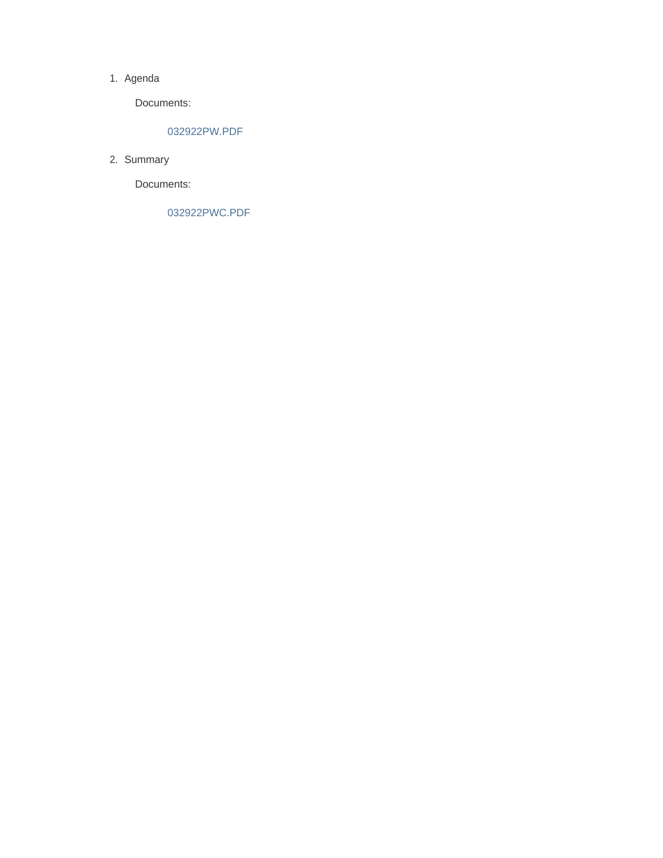#### 1. Agenda

Documents:

#### 032922PW.PDF

2. Summary

Documents:

032922PWC.PDF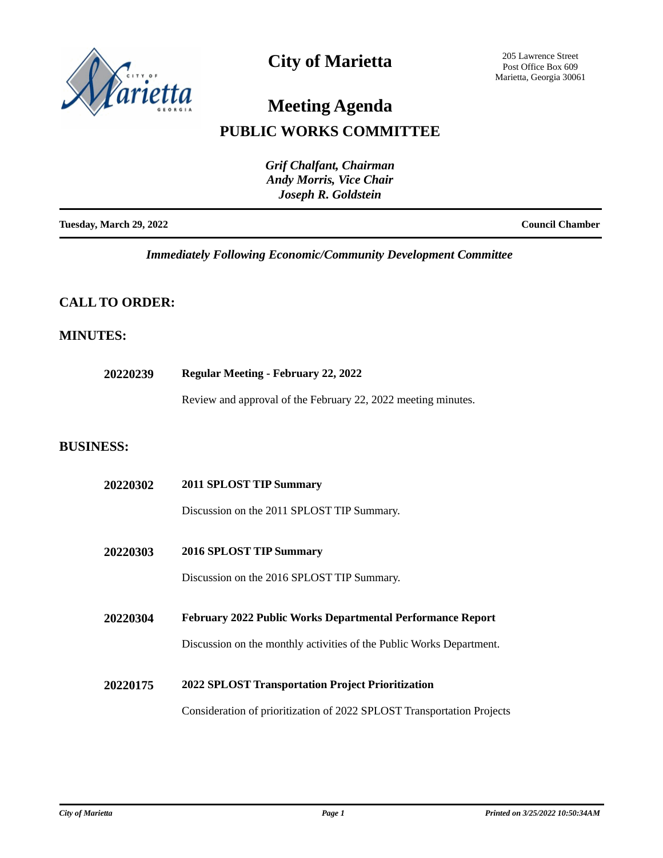

# **City of Marietta**

205 Lawrence Street Post Office Box 609 Marietta, Georgia 30061

# **Meeting Agenda**

### **PUBLIC WORKS COMMITTEE**

| <b>Grif Chalfant, Chairman</b><br><b>Andy Morris, Vice Chair</b> |                        |
|------------------------------------------------------------------|------------------------|
| Joseph R. Goldstein                                              |                        |
| Tuesday, March 29, 2022                                          | <b>Council Chamber</b> |

*Immediately Following Economic/Community Development Committee*

### **CALL TO ORDER:**

#### **MINUTES:**

| 20220239         | <b>Regular Meeting - February 22, 2022</b>                             |  |
|------------------|------------------------------------------------------------------------|--|
|                  | Review and approval of the February 22, 2022 meeting minutes.          |  |
|                  |                                                                        |  |
| <b>BUSINESS:</b> |                                                                        |  |
| 20220302         | 2011 SPLOST TIP Summary                                                |  |
|                  | Discussion on the 2011 SPLOST TIP Summary.                             |  |
| 20220303         | 2016 SPLOST TIP Summary                                                |  |
|                  |                                                                        |  |
|                  | Discussion on the 2016 SPLOST TIP Summary.                             |  |
| 20220304         | February 2022 Public Works Departmental Performance Report             |  |
|                  | Discussion on the monthly activities of the Public Works Department.   |  |
| 20220175         | 2022 SPLOST Transportation Project Prioritization                      |  |
|                  |                                                                        |  |
|                  | Consideration of prioritization of 2022 SPLOST Transportation Projects |  |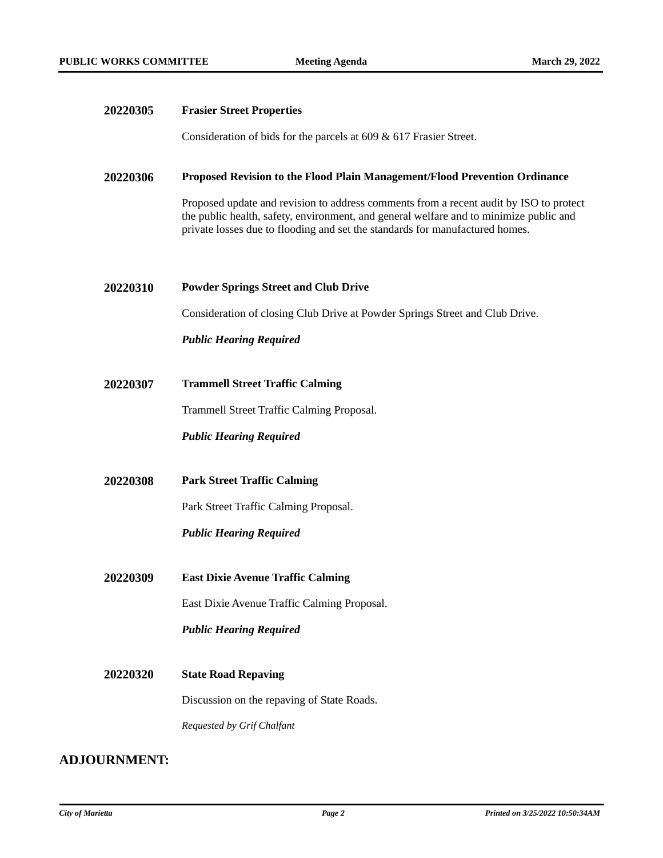| 20220305 | <b>Frasier Street Properties</b>                                                                                                                                                                                                                                 |
|----------|------------------------------------------------------------------------------------------------------------------------------------------------------------------------------------------------------------------------------------------------------------------|
|          | Consideration of bids for the parcels at $609 \& 617$ Frasier Street.                                                                                                                                                                                            |
| 20220306 | Proposed Revision to the Flood Plain Management/Flood Prevention Ordinance                                                                                                                                                                                       |
|          | Proposed update and revision to address comments from a recent audit by ISO to protect<br>the public health, safety, environment, and general welfare and to minimize public and<br>private losses due to flooding and set the standards for manufactured homes. |
| 20220310 | <b>Powder Springs Street and Club Drive</b>                                                                                                                                                                                                                      |
|          | Consideration of closing Club Drive at Powder Springs Street and Club Drive.                                                                                                                                                                                     |
|          | <b>Public Hearing Required</b>                                                                                                                                                                                                                                   |
| 20220307 | <b>Trammell Street Traffic Calming</b>                                                                                                                                                                                                                           |
|          | Trammell Street Traffic Calming Proposal.                                                                                                                                                                                                                        |
|          | <b>Public Hearing Required</b>                                                                                                                                                                                                                                   |
| 20220308 | <b>Park Street Traffic Calming</b>                                                                                                                                                                                                                               |
|          | Park Street Traffic Calming Proposal.                                                                                                                                                                                                                            |
|          | <b>Public Hearing Required</b>                                                                                                                                                                                                                                   |
| 20220309 | <b>East Dixie Avenue Traffic Calming</b>                                                                                                                                                                                                                         |
|          | East Dixie Avenue Traffic Calming Proposal.                                                                                                                                                                                                                      |
|          | <b>Public Hearing Required</b>                                                                                                                                                                                                                                   |
| 20220320 | <b>State Road Repaving</b>                                                                                                                                                                                                                                       |
|          | Discussion on the repaving of State Roads.                                                                                                                                                                                                                       |
|          | Requested by Grif Chalfant                                                                                                                                                                                                                                       |
|          |                                                                                                                                                                                                                                                                  |

### **ADJOURNMENT:**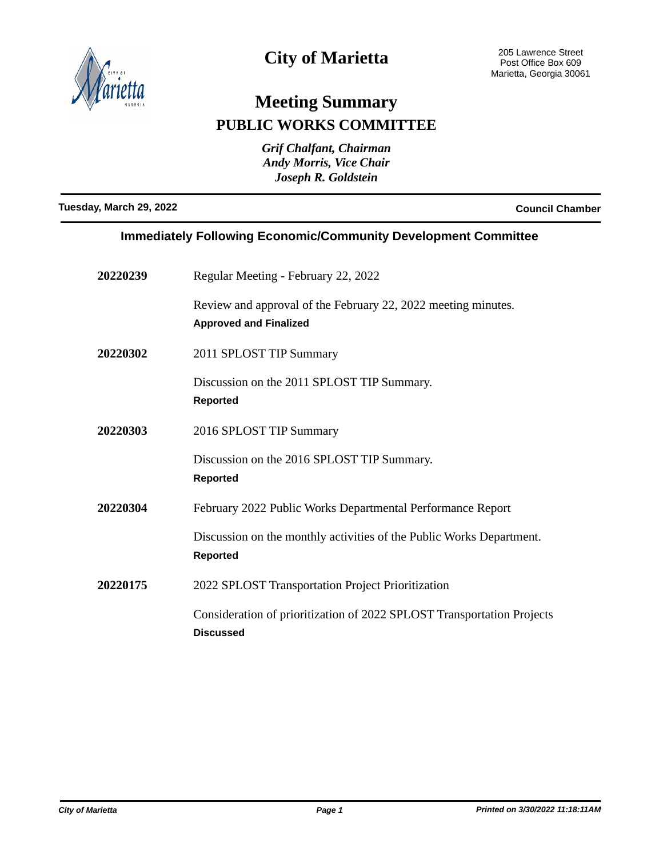

# **City of Marietta**

# **Meeting Summary PUBLIC WORKS COMMITTEE**

*Grif Chalfant, Chairman Andy Morris, Vice Chair Joseph R. Goldstein*

**Tuesday, March 29, 2022 Council Chamber**

### **Immediately Following Economic/Community Development Committee**

| 20220239 | Regular Meeting - February 22, 2022                                                            |
|----------|------------------------------------------------------------------------------------------------|
|          | Review and approval of the February 22, 2022 meeting minutes.<br><b>Approved and Finalized</b> |
| 20220302 | 2011 SPLOST TIP Summary                                                                        |
|          | Discussion on the 2011 SPLOST TIP Summary.<br><b>Reported</b>                                  |
| 20220303 | 2016 SPLOST TIP Summary                                                                        |
|          | Discussion on the 2016 SPLOST TIP Summary.<br><b>Reported</b>                                  |
| 20220304 | February 2022 Public Works Departmental Performance Report                                     |
|          | Discussion on the monthly activities of the Public Works Department.<br><b>Reported</b>        |
| 20220175 | 2022 SPLOST Transportation Project Prioritization                                              |
|          | Consideration of prioritization of 2022 SPLOST Transportation Projects<br><b>Discussed</b>     |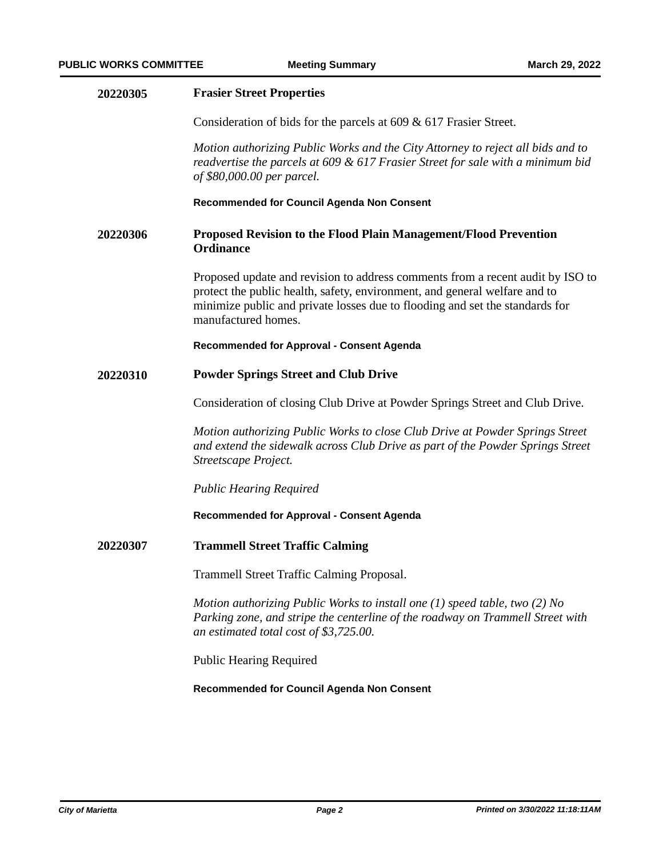| 20220305 | <b>Frasier Street Properties</b>                                                                                                                                                                                                                                    |
|----------|---------------------------------------------------------------------------------------------------------------------------------------------------------------------------------------------------------------------------------------------------------------------|
|          | Consideration of bids for the parcels at $609 \& 617$ Frasier Street.                                                                                                                                                                                               |
|          | Motion authorizing Public Works and the City Attorney to reject all bids and to<br>readvertise the parcels at 609 & 617 Frasier Street for sale with a minimum bid<br>of \$80,000.00 per parcel.                                                                    |
|          | Recommended for Council Agenda Non Consent                                                                                                                                                                                                                          |
| 20220306 | Proposed Revision to the Flood Plain Management/Flood Prevention<br><b>Ordinance</b>                                                                                                                                                                                |
|          | Proposed update and revision to address comments from a recent audit by ISO to<br>protect the public health, safety, environment, and general welfare and to<br>minimize public and private losses due to flooding and set the standards for<br>manufactured homes. |
|          | <b>Recommended for Approval - Consent Agenda</b>                                                                                                                                                                                                                    |
| 20220310 | <b>Powder Springs Street and Club Drive</b>                                                                                                                                                                                                                         |
|          | Consideration of closing Club Drive at Powder Springs Street and Club Drive.                                                                                                                                                                                        |
|          | Motion authorizing Public Works to close Club Drive at Powder Springs Street<br>and extend the sidewalk across Club Drive as part of the Powder Springs Street<br>Streetscape Project.                                                                              |
|          | <b>Public Hearing Required</b>                                                                                                                                                                                                                                      |
|          | Recommended for Approval - Consent Agenda                                                                                                                                                                                                                           |
| 20220307 | <b>Trammell Street Traffic Calming</b>                                                                                                                                                                                                                              |
|          | <b>Trammell Street Traffic Calming Proposal.</b>                                                                                                                                                                                                                    |
|          | Motion authorizing Public Works to install one $(1)$ speed table, two $(2)$ No<br>Parking zone, and stripe the centerline of the roadway on Trammell Street with<br>an estimated total cost of \$3,725.00.                                                          |
|          | <b>Public Hearing Required</b>                                                                                                                                                                                                                                      |
|          | Recommended for Council Agenda Non Consent                                                                                                                                                                                                                          |